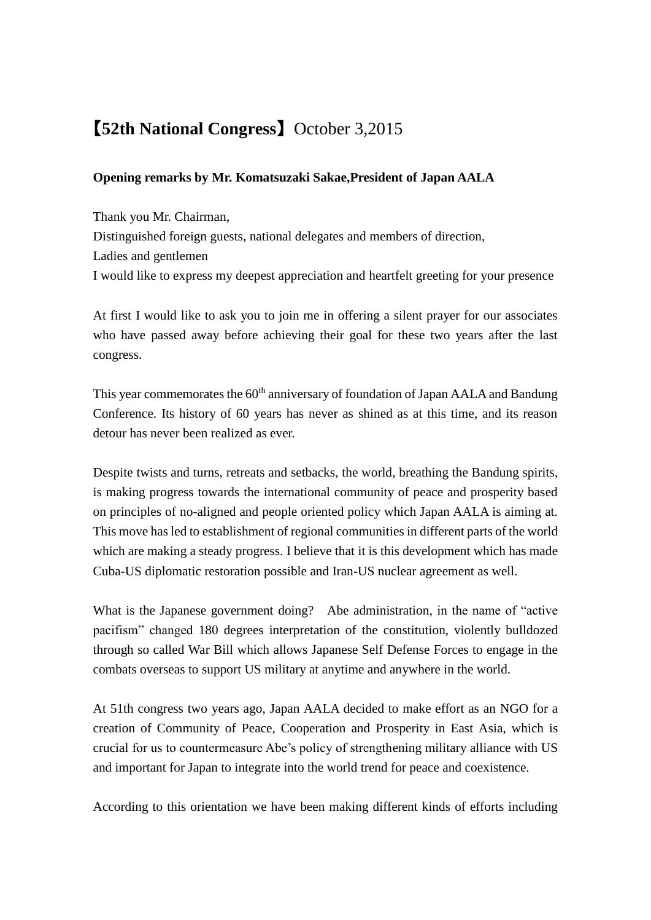## 【**52th National Congress**】 October 3,2015

## **Opening remarks by Mr. Komatsuzaki Sakae,President of Japan AALA**

Thank you Mr. Chairman, Distinguished foreign guests, national delegates and members of direction, Ladies and gentlemen I would like to express my deepest appreciation and heartfelt greeting for your presence

At first I would like to ask you to join me in offering a silent prayer for our associates who have passed away before achieving their goal for these two years after the last congress.

This year commemorates the 60<sup>th</sup> anniversary of foundation of Japan AALA and Bandung Conference. Its history of 60 years has never as shined as at this time, and its reason detour has never been realized as ever.

Despite twists and turns, retreats and setbacks, the world, breathing the Bandung spirits, is making progress towards the international community of peace and prosperity based on principles of no-aligned and people oriented policy which Japan AALA is aiming at. This move has led to establishment of regional communities in different parts of the world which are making a steady progress. I believe that it is this development which has made Cuba-US diplomatic restoration possible and Iran-US nuclear agreement as well.

What is the Japanese government doing? Abe administration, in the name of "active" pacifism" changed 180 degrees interpretation of the constitution, violently bulldozed through so called War Bill which allows Japanese Self Defense Forces to engage in the combats overseas to support US military at anytime and anywhere in the world.

At 51th congress two years ago, Japan AALA decided to make effort as an NGO for a creation of Community of Peace, Cooperation and Prosperity in East Asia, which is crucial for us to countermeasure Abe's policy of strengthening military alliance with US and important for Japan to integrate into the world trend for peace and coexistence.

According to this orientation we have been making different kinds of efforts including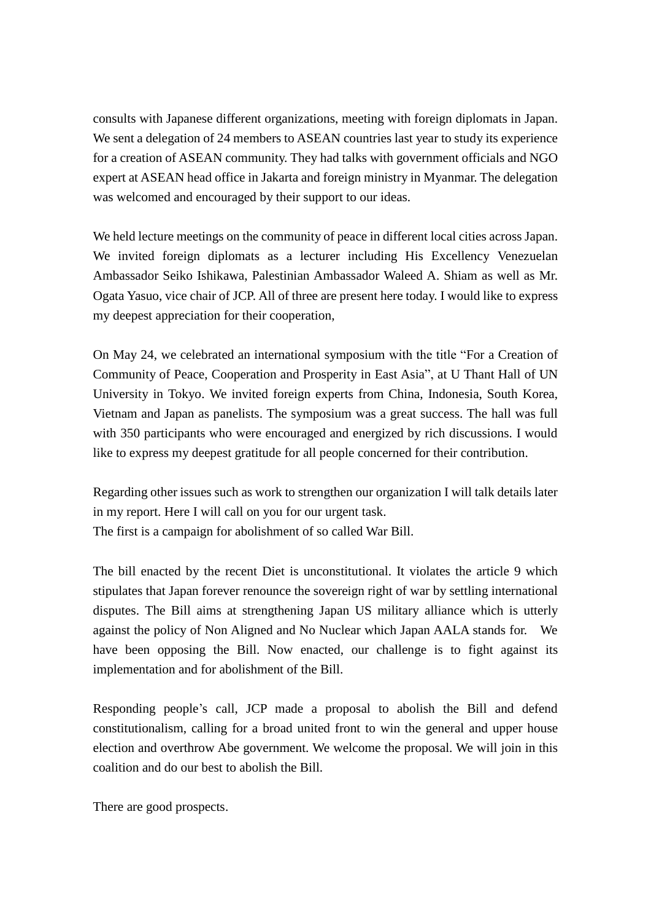consults with Japanese different organizations, meeting with foreign diplomats in Japan. We sent a delegation of 24 members to ASEAN countries last year to study its experience for a creation of ASEAN community. They had talks with government officials and NGO expert at ASEAN head office in Jakarta and foreign ministry in Myanmar. The delegation was welcomed and encouraged by their support to our ideas.

We held lecture meetings on the community of peace in different local cities across Japan. We invited foreign diplomats as a lecturer including His Excellency Venezuelan Ambassador Seiko Ishikawa, Palestinian Ambassador Waleed A. Shiam as well as Mr. Ogata Yasuo, vice chair of JCP. All of three are present here today. I would like to express my deepest appreciation for their cooperation,

On May 24, we celebrated an international symposium with the title "For a Creation of Community of Peace, Cooperation and Prosperity in East Asia", at U Thant Hall of UN University in Tokyo. We invited foreign experts from China, Indonesia, South Korea, Vietnam and Japan as panelists. The symposium was a great success. The hall was full with 350 participants who were encouraged and energized by rich discussions. I would like to express my deepest gratitude for all people concerned for their contribution.

Regarding other issues such as work to strengthen our organization I will talk details later in my report. Here I will call on you for our urgent task. The first is a campaign for abolishment of so called War Bill.

The bill enacted by the recent Diet is unconstitutional. It violates the article 9 which stipulates that Japan forever renounce the sovereign right of war by settling international disputes. The Bill aims at strengthening Japan US military alliance which is utterly against the policy of Non Aligned and No Nuclear which Japan AALA stands for. We have been opposing the Bill. Now enacted, our challenge is to fight against its implementation and for abolishment of the Bill.

Responding people's call, JCP made a proposal to abolish the Bill and defend constitutionalism, calling for a broad united front to win the general and upper house election and overthrow Abe government. We welcome the proposal. We will join in this coalition and do our best to abolish the Bill.

There are good prospects.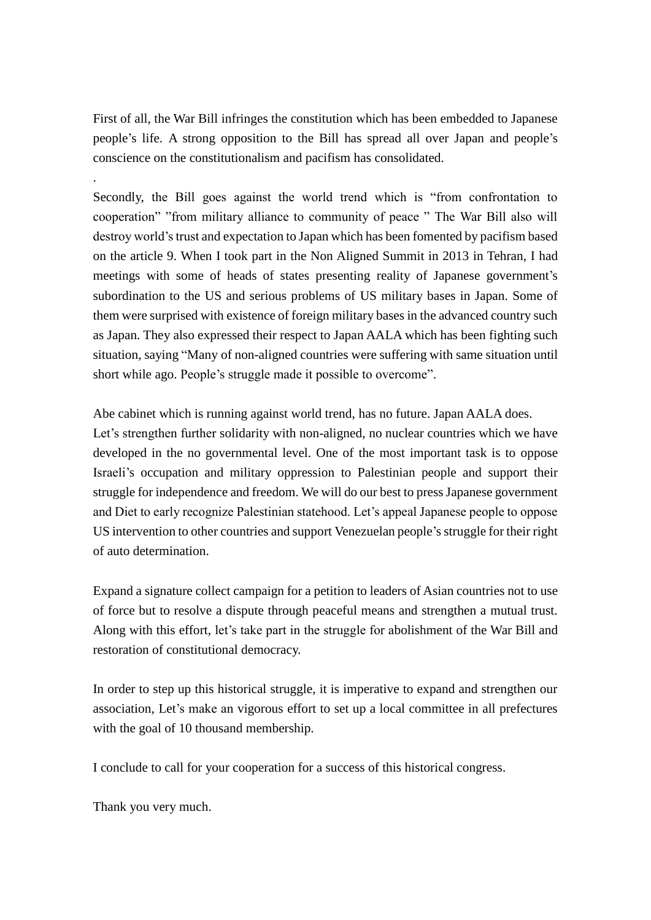First of all, the War Bill infringes the constitution which has been embedded to Japanese people's life. A strong opposition to the Bill has spread all over Japan and people's conscience on the constitutionalism and pacifism has consolidated.

Secondly, the Bill goes against the world trend which is "from confrontation to cooperation" "from military alliance to community of peace " The War Bill also will destroy world's trust and expectation to Japan which has been fomented by pacifism based on the article 9. When I took part in the Non Aligned Summit in 2013 in Tehran, I had meetings with some of heads of states presenting reality of Japanese government's subordination to the US and serious problems of US military bases in Japan. Some of them were surprised with existence of foreign military bases in the advanced country such as Japan. They also expressed their respect to Japan AALA which has been fighting such situation, saying "Many of non-aligned countries were suffering with same situation until short while ago. People's struggle made it possible to overcome".

Abe cabinet which is running against world trend, has no future. Japan AALA does. Let's strengthen further solidarity with non-aligned, no nuclear countries which we have developed in the no governmental level. One of the most important task is to oppose Israeli's occupation and military oppression to Palestinian people and support their struggle for independence and freedom. We will do our best to press Japanese government and Diet to early recognize Palestinian statehood. Let's appeal Japanese people to oppose US intervention to other countries and support Venezuelan people's struggle for their right of auto determination.

Expand a signature collect campaign for a petition to leaders of Asian countries not to use of force but to resolve a dispute through peaceful means and strengthen a mutual trust. Along with this effort, let's take part in the struggle for abolishment of the War Bill and restoration of constitutional democracy.

In order to step up this historical struggle, it is imperative to expand and strengthen our association, Let's make an vigorous effort to set up a local committee in all prefectures with the goal of 10 thousand membership.

I conclude to call for your cooperation for a success of this historical congress.

Thank you very much.

.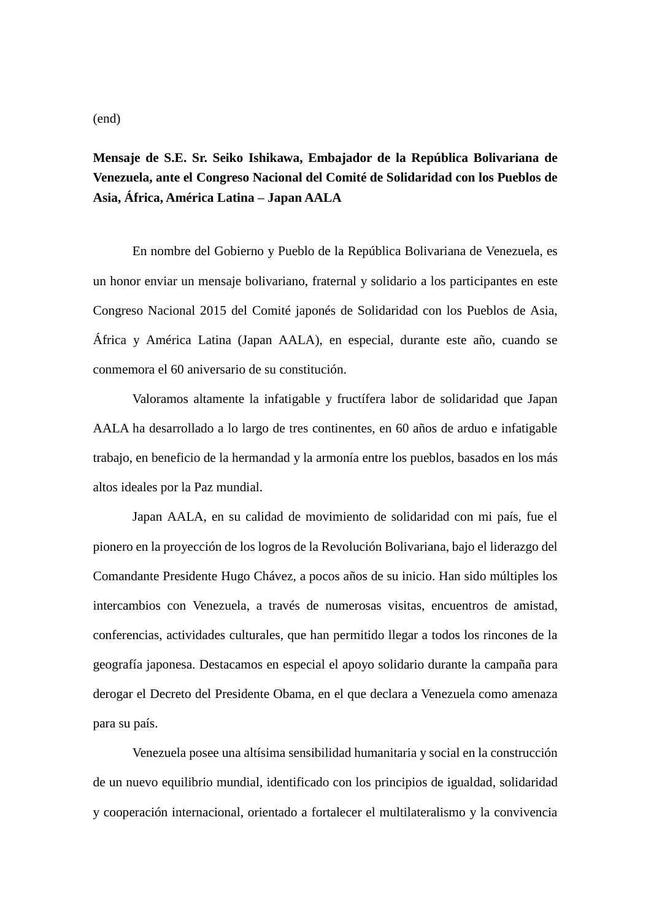## **Mensaje de S.E. Sr. Seiko Ishikawa, Embajador de la República Bolivariana de Venezuela, ante el Congreso Nacional del Comité de Solidaridad con los Pueblos de Asia, África, América Latina – Japan AALA**

En nombre del Gobierno y Pueblo de la República Bolivariana de Venezuela, es un honor enviar un mensaje bolivariano, fraternal y solidario a los participantes en este Congreso Nacional 2015 del Comité japonés de Solidaridad con los Pueblos de Asia, África y América Latina (Japan AALA), en especial, durante este año, cuando se conmemora el 60 aniversario de su constitución.

Valoramos altamente la infatigable y fructífera labor de solidaridad que Japan AALA ha desarrollado a lo largo de tres continentes, en 60 años de arduo e infatigable trabajo, en beneficio de la hermandad y la armonía entre los pueblos, basados en los más altos ideales por la Paz mundial.

Japan AALA, en su calidad de movimiento de solidaridad con mi país, fue el pionero en la proyección de los logros de la Revolución Bolivariana, bajo el liderazgo del Comandante Presidente Hugo Chávez, a pocos años de su inicio. Han sido múltiples los intercambios con Venezuela, a través de numerosas visitas, encuentros de amistad, conferencias, actividades culturales, que han permitido llegar a todos los rincones de la geografía japonesa. Destacamos en especial el apoyo solidario durante la campaña para derogar el Decreto del Presidente Obama, en el que declara a Venezuela como amenaza para su país.

Venezuela posee una altísima sensibilidad humanitaria y social en la construcción de un nuevo equilibrio mundial, identificado con los principios de igualdad, solidaridad y cooperación internacional, orientado a fortalecer el multilateralismo y la convivencia